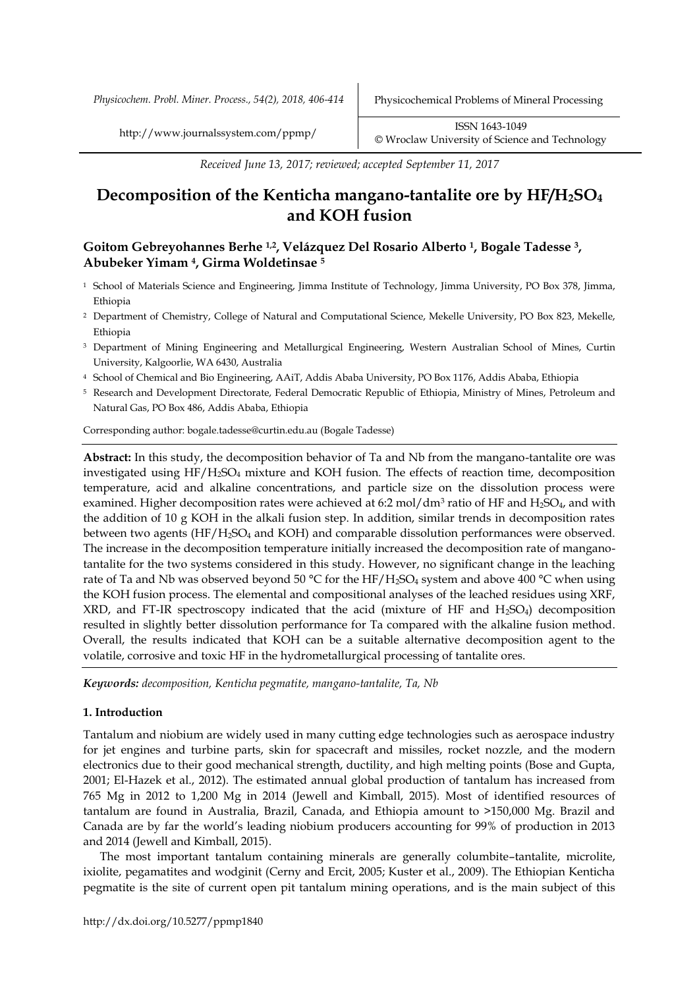*Received June 13, 2017; reviewed; accepted September 11, 2017*

# **Decomposition of the Kenticha mangano-tantalite ore by HF/H2SO<sup>4</sup> and KOH fusion**

# **Goitom Gebreyohannes Berhe 1,2, Velázquez Del Rosario Alberto 1, Bogale Tadesse <sup>3</sup>, Abubeker Yimam <sup>4</sup>, Girma Woldetinsae <sup>5</sup>**

- <sup>1</sup> School of Materials Science and Engineering, Jimma Institute of Technology, Jimma University, PO Box 378, Jimma, Ethiopia
- <sup>2</sup> Department of Chemistry, College of Natural and Computational Science, Mekelle University, PO Box 823, Mekelle, Ethiopia
- <sup>3</sup> Department of Mining Engineering and Metallurgical Engineering, Western Australian School of Mines, Curtin University, Kalgoorlie, WA 6430, Australia
- <sup>4</sup> School of Chemical and Bio Engineering, AAiT, Addis Ababa University, PO Box 1176, Addis Ababa, Ethiopia
- <sup>5</sup> Research and Development Directorate, Federal Democratic Republic of Ethiopia, Ministry of Mines, Petroleum and Natural Gas, PO Box 486, Addis Ababa, Ethiopia

Corresponding author: bogale.tadesse@curtin.edu.au (Bogale Tadesse)

**Abstract:** In this study, the decomposition behavior of Ta and Nb from the mangano-tantalite ore was investigated using HF/H2SO<sup>4</sup> mixture and KOH fusion. The effects of reaction time, decomposition temperature, acid and alkaline concentrations, and particle size on the dissolution process were examined. Higher decomposition rates were achieved at 6:2 mol/dm<sup>3</sup> ratio of HF and H<sub>2</sub>SO<sub>4</sub>, and with the addition of 10 g KOH in the alkali fusion step. In addition, similar trends in decomposition rates between two agents (HF/H<sub>2</sub>SO<sub>4</sub> and KOH) and comparable dissolution performances were observed. The increase in the decomposition temperature initially increased the decomposition rate of manganotantalite for the two systems considered in this study. However, no significant change in the leaching rate of Ta and Nb was observed beyond 50 °C for the HF/H<sub>2</sub>SO<sub>4</sub> system and above 400 °C when using the KOH fusion process. The elemental and compositional analyses of the leached residues using XRF, XRD, and FT-IR spectroscopy indicated that the acid (mixture of HF and  $H_2SO_4$ ) decomposition resulted in slightly better dissolution performance for Ta compared with the alkaline fusion method. Overall, the results indicated that KOH can be a suitable alternative decomposition agent to the volatile, corrosive and toxic HF in the hydrometallurgical processing of tantalite ores.

*Keywords: decomposition, Kenticha pegmatite, mangano-tantalite, Ta, Nb*

# **1. Introduction**

Tantalum and niobium are widely used in many cutting edge technologies such as aerospace industry for jet engines and turbine parts, skin for spacecraft and missiles, rocket nozzle, and the modern electronics due to their good mechanical strength, ductility, and high melting points (Bose and Gupta, 2001; El-Hazek et al., 2012). The estimated annual global production of tantalum has increased from 765 Mg in 2012 to 1,200 Mg in 2014 (Jewell and Kimball, 2015). Most of identified resources of tantalum are found in Australia, Brazil, Canada, and Ethiopia amount to >150,000 Mg. Brazil and Canada are by far the world's leading niobium producers accounting for 99% of production in 2013 and 2014 (Jewell and Kimball, 2015).

The most important tantalum containing minerals are generally columbite–tantalite, microlite, ixiolite, pegamatites and wodginit (Cerny and Ercit, 2005; Kuster et al., 2009). The Ethiopian Kenticha pegmatite is the site of current open pit tantalum mining operations, and is the main subject of this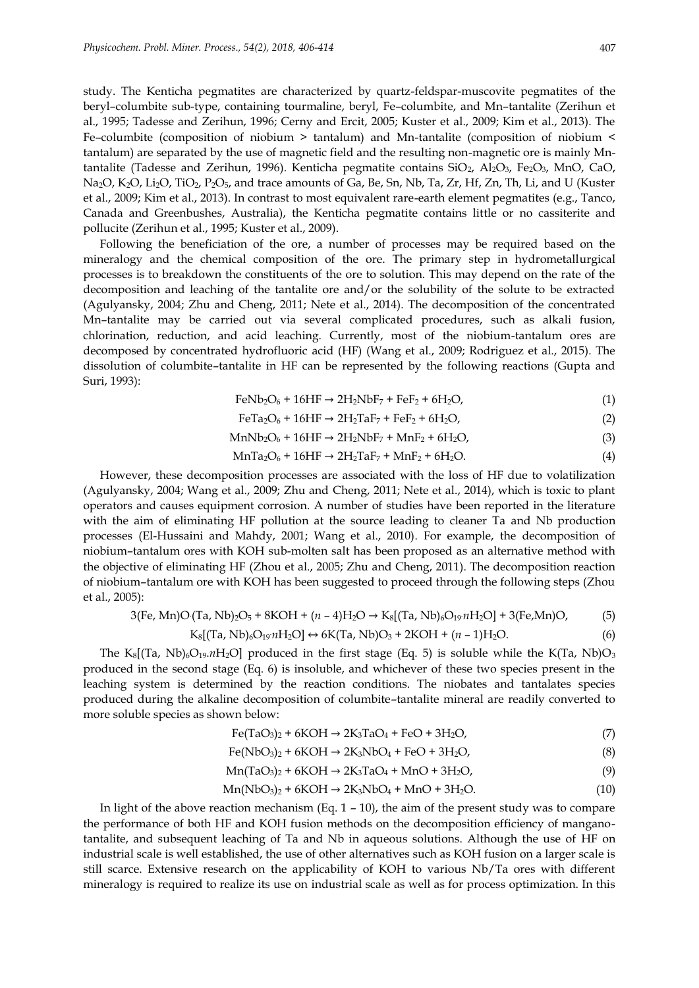study. The Kenticha pegmatites are characterized by quartz-feldspar-muscovite pegmatites of the beryl–columbite sub-type, containing tourmaline, beryl, Fe–columbite, and Mn–tantalite (Zerihun et al., 1995; Tadesse and Zerihun, 1996; Cerny and Ercit, 2005; Kuster et al., 2009; Kim et al., 2013). The Fe–columbite (composition of niobium > tantalum) and Mn-tantalite (composition of niobium < tantalum) are separated by the use of magnetic field and the resulting non-magnetic ore is mainly Mntantalite (Tadesse and Zerihun, 1996). Kenticha pegmatite contains  $SiO_2$ ,  $Al_2O_3$ , Fe<sub>2</sub>O<sub>3</sub>, MnO, CaO,  $Na<sub>2</sub>O, K<sub>2</sub>O, Li<sub>2</sub>O, TiO<sub>2</sub>, P<sub>2</sub>O<sub>5</sub>$ , and trace amounts of Ga, Be, Sn, Nb, Ta, Zr, Hf, Zn, Th, Li, and U (Kuster et al., 2009; Kim et al., 2013). In contrast to most equivalent rare-earth element pegmatites (e.g., Tanco, Canada and Greenbushes, Australia), the Kenticha pegmatite contains little or no cassiterite and pollucite (Zerihun et al., 1995; Kuster et al., 2009).

Following the beneficiation of the ore, a number of processes may be required based on the mineralogy and the chemical composition of the ore. The primary step in hydrometallurgical processes is to breakdown the constituents of the ore to solution. This may depend on the rate of the decomposition and leaching of the tantalite ore and/or the solubility of the solute to be extracted (Agulyansky, 2004; Zhu and Cheng, 2011; Nete et al., 2014). The decomposition of the concentrated Mn–tantalite may be carried out via several complicated procedures, such as alkali fusion, chlorination, reduction, and acid leaching. Currently, most of the niobium-tantalum ores are decomposed by concentrated hydrofluoric acid (HF) (Wang et al., 2009; Rodriguez et al., 2015). The dissolution of columbite–tantalite in HF can be represented by the following reactions (Gupta and Suri, 1993):

$$
\text{FeNb}_2\text{O}_6 + 16\text{HF} \rightarrow 2\text{H}_2\text{NbF}_7 + \text{FeF}_2 + 6\text{H}_2\text{O},\tag{1}
$$

$$
\text{FeTa}_2\text{O}_6 + 16\text{HF} \rightarrow 2\text{H}_2\text{TaF}_7 + \text{FeF}_2 + 6\text{H}_2\text{O},\tag{2}
$$

$$
MnNb2O6 + 16HF \rightarrow 2H2NbF7 + MnF2 + 6H2O,
$$
\n(3)

$$
MnTa_2O_6 + 16HF \rightarrow 2H_2TaF_7 + MnF_2 + 6H_2O. \tag{4}
$$

However, these decomposition processes are associated with the loss of HF due to volatilization (Agulyansky, 2004; Wang et al., 2009; Zhu and Cheng, 2011; Nete et al., 2014), which is toxic to plant operators and causes equipment corrosion. A number of studies have been reported in the literature with the aim of eliminating HF pollution at the source leading to cleaner Ta and Nb production processes (El-Hussaini and Mahdy, 2001; Wang et al., 2010). For example, the decomposition of niobium–tantalum ores with KOH sub-molten salt has been proposed as an alternative method with the objective of eliminating HF (Zhou et al., 2005; Zhu and Cheng, 2011). The decomposition reaction of niobium–tantalum ore with KOH has been suggested to proceed through the following steps (Zhou et al., 2005):

$$
3(Fe, Mn)O (Ta, Nb)_{2}O_{5} + 8KOH + (n-4)H_{2}O \rightarrow K_{8}[(Ta, Nb)_{6}O_{19}nH_{2}O] + 3(Fe, Mn)O,
$$
(5)

$$
K_8[(Ta, Nb)_6O_{19}nH_2O] \leftrightarrow 6K(Ta, Nb)O_3 + 2KOH + (n-1)H_2O.
$$
 (6)

The K<sub>8</sub>[(Ta, Nb)<sub>6</sub>O<sub>19</sub>.*n*H<sub>2</sub>O] produced in the first stage (Eq. 5) is soluble while the K(Ta, Nb)O<sub>3</sub> produced in the second stage (Eq. 6) is insoluble, and whichever of these two species present in the leaching system is determined by the reaction conditions. The niobates and tantalates species produced during the alkaline decomposition of columbite–tantalite mineral are readily converted to more soluble species as shown below:

$$
\text{Fe(TaO3)2 + 6KOH \rightarrow 2K3TaO4 + FeO + 3H2O,
$$
\n(7)

$$
Fe(NbO3)2 + 6KOH \rightarrow 2K3NbO4 + FeO + 3H2O,
$$
\n(8)

$$
Mn(TaO3)2 + 6KOH \rightarrow 2K3TaO4 + MnO + 3H2O,
$$
\n(9)

$$
Mn(NbO3)2 + 6KOH \rightarrow 2K3NbO4 + MnO + 3H2O.
$$
 (10)

In light of the above reaction mechanism (Eq.  $1 - 10$ ), the aim of the present study was to compare the performance of both HF and KOH fusion methods on the decomposition efficiency of manganotantalite, and subsequent leaching of Ta and Nb in aqueous solutions. Although the use of HF on industrial scale is well established, the use of other alternatives such as KOH fusion on a larger scale is still scarce. Extensive research on the applicability of KOH to various Nb/Ta ores with different mineralogy is required to realize its use on industrial scale as well as for process optimization. In this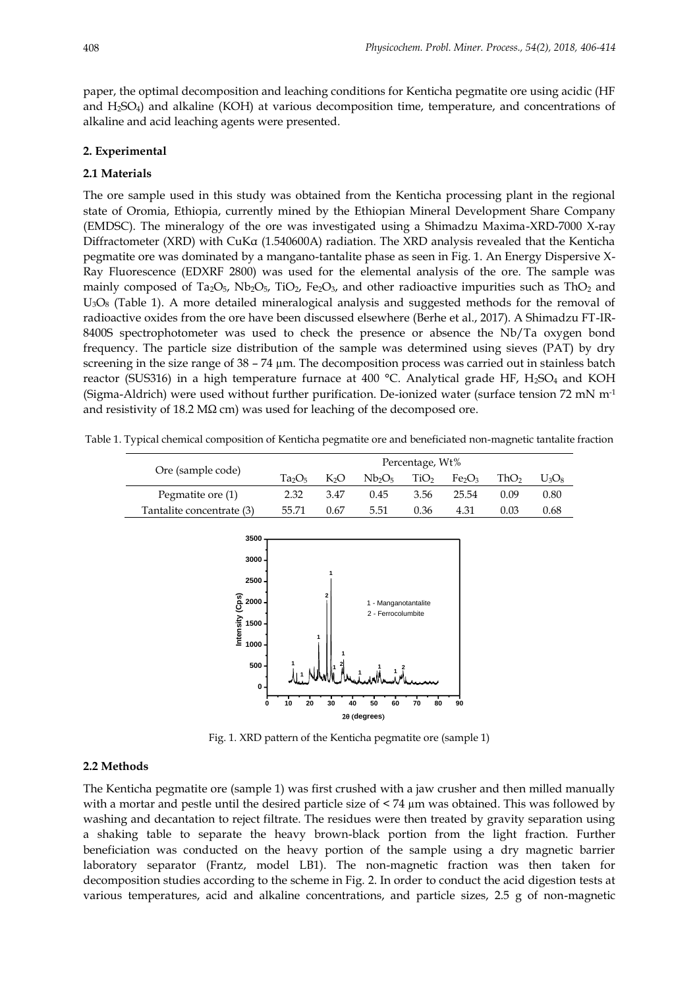paper, the optimal decomposition and leaching conditions for Kenticha pegmatite ore using acidic (HF and H2SO4) and alkaline (KOH) at various decomposition time, temperature, and concentrations of alkaline and acid leaching agents were presented.

# **2. Experimental**

#### **2.1 Materials**

The ore sample used in this study was obtained from the Kenticha processing plant in the regional state of Oromia, Ethiopia, currently mined by the Ethiopian Mineral Development Share Company (EMDSC). The mineralogy of the ore was investigated using a Shimadzu Maxima-XRD-7000 X-ray Diffractometer (XRD) with CuKα (1.540600A) radiation. The XRD analysis revealed that the Kenticha pegmatite ore was dominated by a mangano-tantalite phase as seen in Fig. 1. An Energy Dispersive X-Ray Fluorescence (EDXRF 2800) was used for the elemental analysis of the ore. The sample was mainly composed of Ta<sub>2</sub>O<sub>5</sub>, Nb<sub>2</sub>O<sub>5</sub>, TiO<sub>2</sub>, Fe<sub>2</sub>O<sub>3</sub>, and other radioactive impurities such as ThO<sub>2</sub> and U3O<sup>8</sup> (Table 1). A more detailed mineralogical analysis and suggested methods for the removal of radioactive oxides from the ore have been discussed elsewhere (Berhe et al., 2017). A Shimadzu FT-IR-8400S spectrophotometer was used to check the presence or absence the Nb/Ta oxygen bond frequency. The particle size distribution of the sample was determined using sieves (PAT) by dry screening in the size range of  $38 - 74 \mu m$ . The decomposition process was carried out in stainless batch reactor (SUS316) in a high temperature furnace at 400  $^{\circ}$ C. Analytical grade HF, H<sub>2</sub>SO<sub>4</sub> and KOH (Sigma-Aldrich) were used without further purification. De-ionized water (surface tension 72 mN  $m<sup>-1</sup>$ and resistivity of 18.2 MΩ cm) was used for leaching of the decomposed ore.

Table 1. Typical chemical composition of Kenticha pegmatite ore and beneficiated non-magnetic tantalite fraction

| Percentage, Wt%                |      |                                |      |                                |      |          |
|--------------------------------|------|--------------------------------|------|--------------------------------|------|----------|
| Ta <sub>2</sub> O <sub>5</sub> | KО   | Nb <sub>2</sub> O <sub>5</sub> | TiO2 | Fe <sub>2</sub> O <sub>3</sub> | ThO2 | $U_3O_8$ |
| 2.32                           | 3.47 | 0.45                           | 3.56 | 25.54                          | 0.09 | 0.80     |
| 55.71                          | 0.67 | 5.51                           | 0.36 | 4.31                           | 0.03 | 0.68     |
|                                |      |                                |      |                                |      |          |
|                                |      |                                |      |                                |      |          |



Fig. 1. XRD pattern of the Kenticha pegmatite ore (sample 1)

# **2.2 Methods**

The Kenticha pegmatite ore (sample 1) was first crushed with a jaw crusher and then milled manually with a mortar and pestle until the desired particle size of  $\lt 74 \,\mu m$  was obtained. This was followed by washing and decantation to reject filtrate. The residues were then treated by gravity separation using a shaking table to separate the heavy brown-black portion from the light fraction. Further beneficiation was conducted on the heavy portion of the sample using a dry magnetic barrier laboratory separator (Frantz, model LB1). The non-magnetic fraction was then taken for decomposition studies according to the scheme in Fig. 2. In order to conduct the acid digestion tests at various temperatures, acid and alkaline concentrations, and particle sizes, 2.5 g of non-magnetic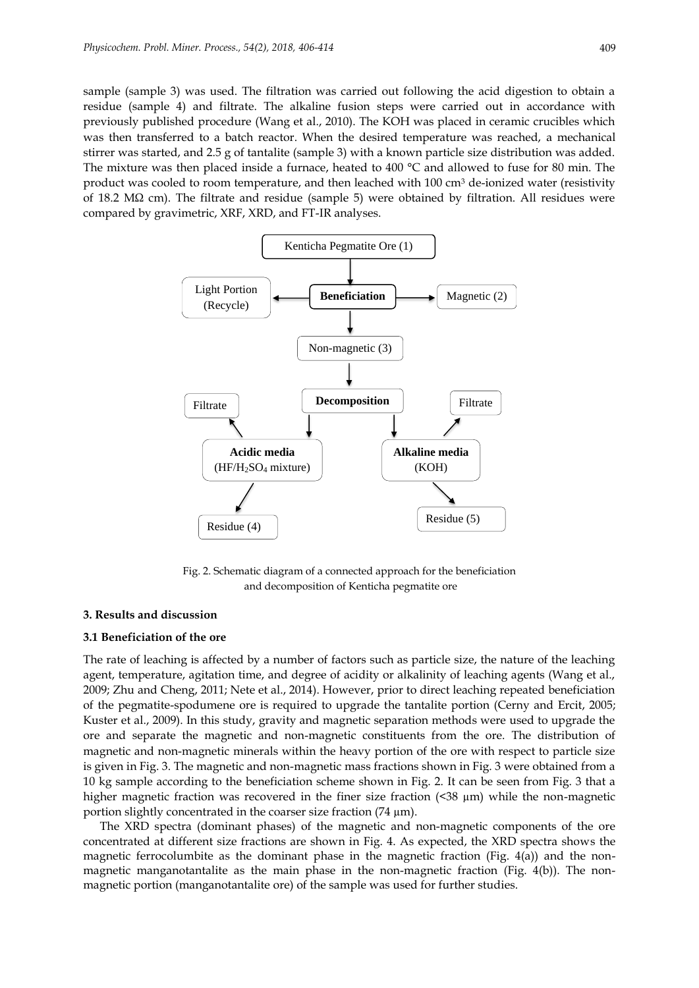sample (sample 3) was used. The filtration was carried out following the acid digestion to obtain a residue (sample 4) and filtrate. The alkaline fusion steps were carried out in accordance with previously published procedure (Wang et al., 2010). The KOH was placed in ceramic crucibles which was then transferred to a batch reactor. When the desired temperature was reached, a mechanical stirrer was started, and 2.5 g of tantalite (sample 3) with a known particle size distribution was added. The mixture was then placed inside a furnace, heated to 400 °C and allowed to fuse for 80 min. The product was cooled to room temperature, and then leached with 100 cm<sup>3</sup> de-ionized water (resistivity of 18.2 MΩ cm). The filtrate and residue (sample 5) were obtained by filtration. All residues were compared by gravimetric, XRF, XRD, and FT-IR analyses.



Fig. 2. Schematic diagram of a connected approach for the beneficiation and decomposition of Kenticha pegmatite ore

#### **3. Results and discussion**

## **3.1 Beneficiation of the ore**

The rate of leaching is affected by a number of factors such as particle size, the nature of the leaching agent, temperature, agitation time, and degree of acidity or alkalinity of leaching agents (Wang et al., 2009; Zhu and Cheng, 2011; Nete et al., 2014). However, prior to direct leaching repeated beneficiation of the pegmatite-spodumene ore is required to upgrade the tantalite portion (Cerny and Ercit, 2005; Kuster et al., 2009). In this study, gravity and magnetic separation methods were used to upgrade the ore and separate the magnetic and non-magnetic constituents from the ore. The distribution of magnetic and non-magnetic minerals within the heavy portion of the ore with respect to particle size is given in Fig. 3. The magnetic and non-magnetic mass fractions shown in Fig. 3 were obtained from a 10 kg sample according to the beneficiation scheme shown in Fig. 2. It can be seen from Fig. 3 that a higher magnetic fraction was recovered in the finer size fraction  $($ <38  $\mu$ m) while the non-magnetic portion slightly concentrated in the coarser size fraction (74 µm).

The XRD spectra (dominant phases) of the magnetic and non-magnetic components of the ore concentrated at different size fractions are shown in Fig. 4. As expected, the XRD spectra shows the magnetic ferrocolumbite as the dominant phase in the magnetic fraction (Fig.  $4(a)$ ) and the nonmagnetic manganotantalite as the main phase in the non-magnetic fraction (Fig. 4(b)). The nonmagnetic portion (manganotantalite ore) of the sample was used for further studies.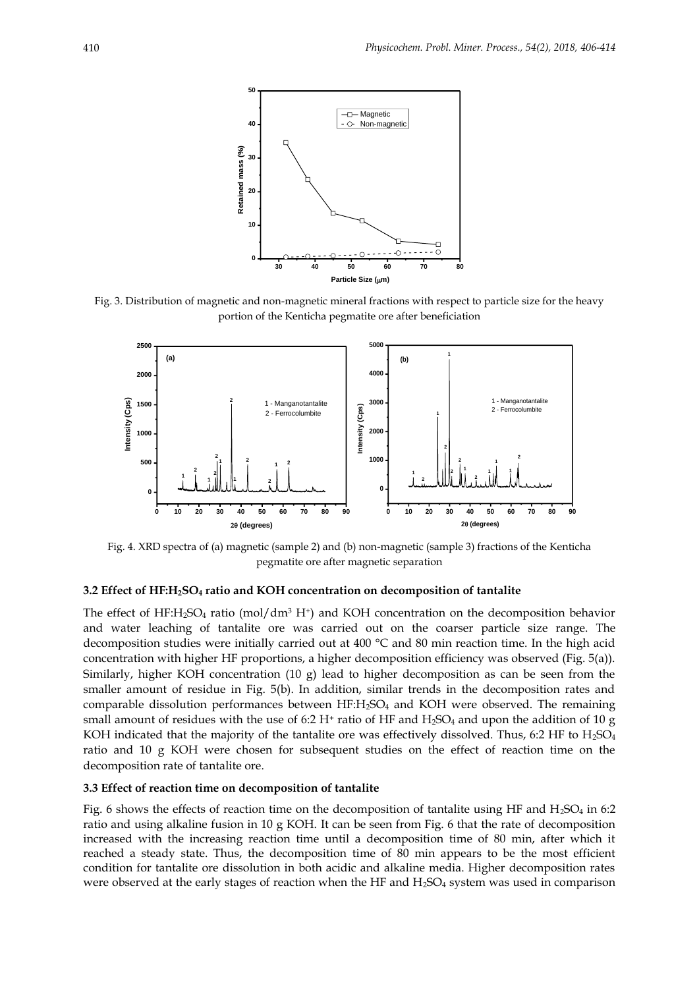

Fig. 3. Distribution of magnetic and non-magnetic mineral fractions with respect to particle size for the heavy portion of the Kenticha pegmatite ore after beneficiation



Fig. 4. XRD spectra of (a) magnetic (sample 2) and (b) non-magnetic (sample 3) fractions of the Kenticha pegmatite ore after magnetic separation

#### **3.2 Effect of HF:H2SO<sup>4</sup> ratio and KOH concentration on decomposition of tantalite**

The effect of HF:H<sub>2</sub>SO<sub>4</sub> ratio (mol/dm<sup>3</sup> H<sup>+</sup>) and KOH concentration on the decomposition behavior and water leaching of tantalite ore was carried out on the coarser particle size range. The decomposition studies were initially carried out at 400 °C and 80 min reaction time. In the high acid concentration with higher HF proportions, a higher decomposition efficiency was observed (Fig. 5(a)). Similarly, higher KOH concentration (10 g) lead to higher decomposition as can be seen from the smaller amount of residue in Fig. 5(b). In addition, similar trends in the decomposition rates and comparable dissolution performances between  $HF: H<sub>2</sub>SO<sub>4</sub>$  and KOH were observed. The remaining small amount of residues with the use of 6:2 H<sup>+</sup> ratio of HF and H<sub>2</sub>SO<sub>4</sub> and upon the addition of 10 g KOH indicated that the majority of the tantalite ore was effectively dissolved. Thus, 6:2 HF to  $H_2SO_4$ ratio and 10 g KOH were chosen for subsequent studies on the effect of reaction time on the decomposition rate of tantalite ore.

# **3.3 Effect of reaction time on decomposition of tantalite**

Fig. 6 shows the effects of reaction time on the decomposition of tantalite using HF and  $H_2SO_4$  in 6:2 ratio and using alkaline fusion in 10 g KOH. It can be seen from Fig. 6 that the rate of decomposition increased with the increasing reaction time until a decomposition time of 80 min, after which it reached a steady state. Thus, the decomposition time of 80 min appears to be the most efficient condition for tantalite ore dissolution in both acidic and alkaline media. Higher decomposition rates were observed at the early stages of reaction when the HF and H<sub>2</sub>SO<sub>4</sub> system was used in comparison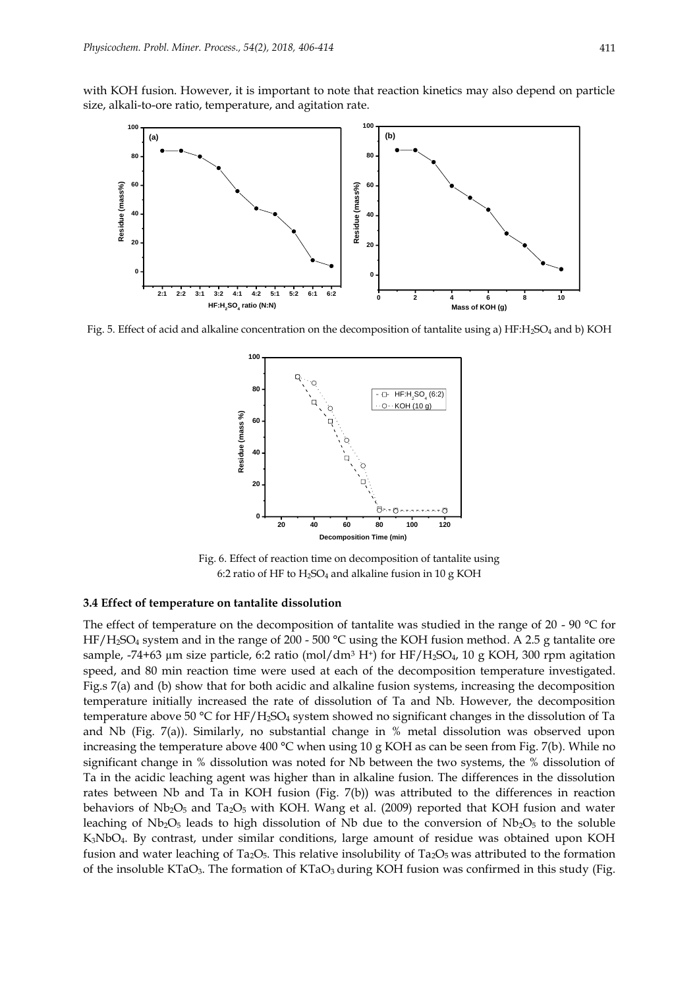with KOH fusion. However, it is important to note that reaction kinetics may also depend on particle size, alkali-to-ore ratio, temperature, and agitation rate.



Fig. 5. Effect of acid and alkaline concentration on the decomposition of tantalite using a) HF:H2SO<sup>4</sup> and b) KOH



Fig. 6. Effect of reaction time on decomposition of tantalite using 6:2 ratio of HF to  $H_2SO_4$  and alkaline fusion in 10 g KOH

## **3.4 Effect of temperature on tantalite dissolution**

The effect of temperature on the decomposition of tantalite was studied in the range of 20 - 90 °C for HF/H2SO<sup>4</sup> system and in the range of 200 - 500 °C using the KOH fusion method. A 2.5 g tantalite ore sample, -74+63 µm size particle, 6:2 ratio (mol/dm<sup>3</sup> H<sup>+</sup>) for HF/H<sub>2</sub>SO<sub>4</sub>, 10 g KOH, 300 rpm agitation speed, and 80 min reaction time were used at each of the decomposition temperature investigated. Fig.s 7(a) and (b) show that for both acidic and alkaline fusion systems, increasing the decomposition temperature initially increased the rate of dissolution of Ta and Nb. However, the decomposition temperature above 50 °C for HF/H<sub>2</sub>SO<sub>4</sub> system showed no significant changes in the dissolution of Ta and Nb (Fig. 7(a)). Similarly, no substantial change in % metal dissolution was observed upon increasing the temperature above 400 °C when using 10 g KOH as can be seen from Fig. 7(b). While no significant change in % dissolution was noted for Nb between the two systems, the % dissolution of Ta in the acidic leaching agent was higher than in alkaline fusion. The differences in the dissolution rates between Nb and Ta in KOH fusion (Fig. 7(b)) was attributed to the differences in reaction behaviors of  $Nb_2O_5$  and  $Ta_2O_5$  with KOH. Wang et al. (2009) reported that KOH fusion and water leaching of  $Nb_2O_5$  leads to high dissolution of Nb due to the conversion of  $Nb_2O_5$  to the soluble K3NbO4. By contrast, under similar conditions, large amount of residue was obtained upon KOH fusion and water leaching of Ta<sub>2</sub>O<sub>5</sub>. This relative insolubility of Ta<sub>2</sub>O<sub>5</sub> was attributed to the formation of the insoluble KTaO<sub>3</sub>. The formation of KTaO<sub>3</sub> during KOH fusion was confirmed in this study (Fig.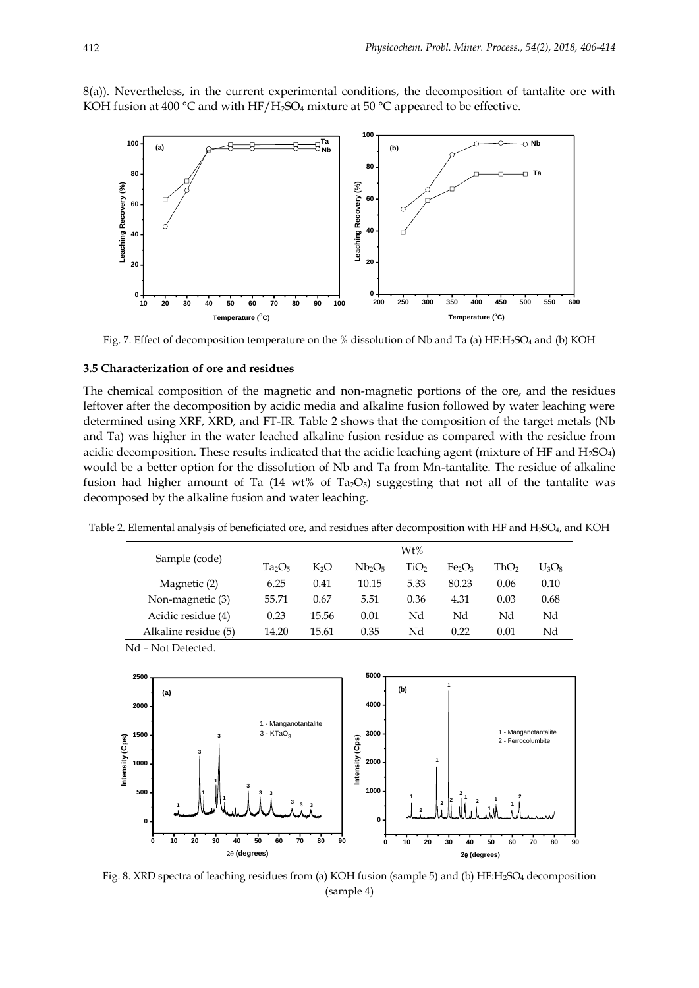8(a)). Nevertheless, in the current experimental conditions, the decomposition of tantalite ore with KOH fusion at 400 °C and with HF/H<sub>2</sub>SO<sub>4</sub> mixture at 50 °C appeared to be effective.



Fig. 7. Effect of decomposition temperature on the % dissolution of Nb and Ta (a) HF:H<sub>2</sub>SO<sub>4</sub> and (b) KOH

# **3.5 Characterization of ore and residues**

The chemical composition of the magnetic and non-magnetic portions of the ore, and the residues leftover after the decomposition by acidic media and alkaline fusion followed by water leaching were determined using XRF, XRD, and FT-IR. Table 2 shows that the composition of the target metals (Nb and Ta) was higher in the water leached alkaline fusion residue as compared with the residue from acidic decomposition. These results indicated that the acidic leaching agent (mixture of HF and  $H_2SO_4$ ) would be a better option for the dissolution of Nb and Ta from Mn-tantalite. The residue of alkaline fusion had higher amount of Ta  $(14 \text{ wt\% of Ta}_2\text{O}_5)$  suggesting that not all of the tantalite was decomposed by the alkaline fusion and water leaching.

Table 2. Elemental analysis of beneficiated ore, and residues after decomposition with HF and H<sub>2</sub>SO<sub>4</sub>, and KOH

|                      | Wt%   |       |                                |      |                                |      |          |
|----------------------|-------|-------|--------------------------------|------|--------------------------------|------|----------|
| Sample (code)        | Ta2O5 | K2O   | Nb <sub>2</sub> O <sub>5</sub> | TiO2 | Fe <sub>2</sub> O <sub>3</sub> | ThO2 | $U_3O_8$ |
| Magnetic (2)         | 6.25  | 0.41  | 10.15                          | 5.33 | 80.23                          | 0.06 | 0.10     |
| Non-magnetic (3)     | 55.71 | 0.67  | 5.51                           | 0.36 | 4.31                           | 0.03 | 0.68     |
| Acidic residue (4)   | 0.23  | 15.56 | 0.01                           | Nd   | Nd                             | Nd   | Nd       |
| Alkaline residue (5) | 14.20 | 15.61 | 0.35                           | Nd   | 0.22                           | 0.01 | Nd       |

Nd – Not Detected.



Fig. 8. XRD spectra of leaching residues from (a) KOH fusion (sample 5) and (b) HF:H<sub>2</sub>SO<sub>4</sub> decomposition (sample 4)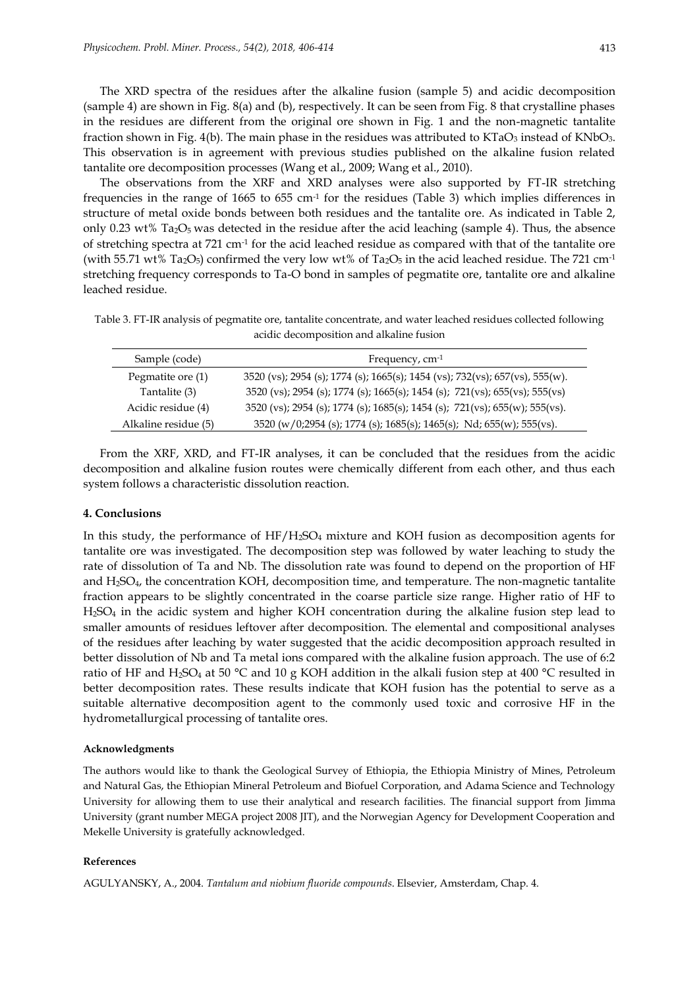The XRD spectra of the residues after the alkaline fusion (sample 5) and acidic decomposition (sample 4) are shown in Fig. 8(a) and (b), respectively. It can be seen from Fig. 8 that crystalline phases in the residues are different from the original ore shown in Fig. 1 and the non-magnetic tantalite fraction shown in Fig. 4(b). The main phase in the residues was attributed to  $KTaO<sub>3</sub>$  instead of  $KNbO<sub>3</sub>$ . This observation is in agreement with previous studies published on the alkaline fusion related tantalite ore decomposition processes (Wang et al., 2009; Wang et al., 2010).

The observations from the XRF and XRD analyses were also supported by FT-IR stretching frequencies in the range of 1665 to 655  $\rm cm^{\text{-}1}$  for the residues (Table 3) which implies differences in structure of metal oxide bonds between both residues and the tantalite ore. As indicated in Table 2, only 0.23 wt% Ta<sub>2</sub>O<sub>5</sub> was detected in the residue after the acid leaching (sample 4). Thus, the absence of stretching spectra at 721 cm-1 for the acid leached residue as compared with that of the tantalite ore (with 55.71 wt% Ta<sub>2</sub>O<sub>5</sub>) confirmed the very low wt% of Ta<sub>2</sub>O<sub>5</sub> in the acid leached residue. The 721 cm<sup>-1</sup> stretching frequency corresponds to Ta-O bond in samples of pegmatite ore, tantalite ore and alkaline leached residue.

Table 3. FT-IR analysis of pegmatite ore, tantalite concentrate, and water leached residues collected following acidic decomposition and alkaline fusion

| Sample (code)        | Frequency, $cm-1$                                                            |
|----------------------|------------------------------------------------------------------------------|
| Pegmatite ore (1)    | 3520 (vs); 2954 (s); 1774 (s); 1665(s); 1454 (vs); 732(vs); 657(vs), 555(w). |
| Tantalite (3)        | 3520 (vs); 2954 (s); 1774 (s); 1665(s); 1454 (s); 721(vs); 655(vs); 555(vs)  |
| Acidic residue (4)   | 3520 (vs); 2954 (s); 1774 (s); 1685(s); 1454 (s); 721(vs); 655(w); 555(vs).  |
| Alkaline residue (5) | 3520 (w/0;2954 (s); 1774 (s); 1685(s); 1465(s); Nd; 655(w); 555(vs).         |

From the XRF, XRD, and FT-IR analyses, it can be concluded that the residues from the acidic decomposition and alkaline fusion routes were chemically different from each other, and thus each system follows a characteristic dissolution reaction.

#### **4. Conclusions**

In this study, the performance of HF/H<sub>2</sub>SO<sub>4</sub> mixture and KOH fusion as decomposition agents for tantalite ore was investigated. The decomposition step was followed by water leaching to study the rate of dissolution of Ta and Nb. The dissolution rate was found to depend on the proportion of HF and  $H_2SO_4$ , the concentration KOH, decomposition time, and temperature. The non-magnetic tantalite fraction appears to be slightly concentrated in the coarse particle size range. Higher ratio of HF to H2SO<sup>4</sup> in the acidic system and higher KOH concentration during the alkaline fusion step lead to smaller amounts of residues leftover after decomposition. The elemental and compositional analyses of the residues after leaching by water suggested that the acidic decomposition approach resulted in better dissolution of Nb and Ta metal ions compared with the alkaline fusion approach. The use of 6:2 ratio of HF and H<sub>2</sub>SO<sub>4</sub> at 50 °C and 10 g KOH addition in the alkali fusion step at 400 °C resulted in better decomposition rates. These results indicate that KOH fusion has the potential to serve as a suitable alternative decomposition agent to the commonly used toxic and corrosive HF in the hydrometallurgical processing of tantalite ores.

#### **Acknowledgments**

The authors would like to thank the Geological Survey of Ethiopia, the Ethiopia Ministry of Mines, Petroleum and Natural Gas, the Ethiopian Mineral Petroleum and Biofuel Corporation, and Adama Science and Technology University for allowing them to use their analytical and research facilities. The financial support from Jimma University (grant number MEGA project 2008 JIT), and the Norwegian Agency for Development Cooperation and Mekelle University is gratefully acknowledged.

#### **References**

AGULYANSKY, A., 2004. *Tantalum and niobium fluoride compounds*. Elsevier, Amsterdam, Chap. 4.